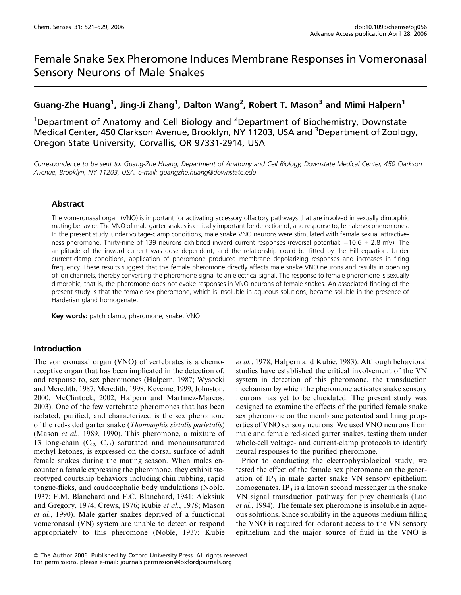# Female Snake Sex Pheromone Induces Membrane Responses in Vomeronasal Sensory Neurons of Male Snakes

## Guang-Zhe Huang<sup>1</sup>, Jing-Ji Zhang<sup>1</sup>, Dalton Wang<sup>2</sup>, Robert T. Mason<sup>3</sup> and Mimi Halpern<sup>1</sup>

<sup>1</sup>Department of Anatomy and Cell Biology and <sup>2</sup>Department of Biochemistry, Downstate Medical Center, 450 Clarkson Avenue, Brooklyn, NY 11203, USA and <sup>3</sup>Department of Zoology, Oregon State University, Corvallis, OR 97331-2914, USA

Correspondence to be sent to: Guang-Zhe Huang, Department of Anatomy and Cell Biology, Downstate Medical Center, 450 Clarkson Avenue, Brooklyn, NY 11203, USA. e-mail: guangzhe.huang@downstate.edu

## Abstract

The vomeronasal organ (VNO) is important for activating accessory olfactory pathways that are involved in sexually dimorphic mating behavior. The VNO of male garter snakes is critically important for detection of, and response to, female sex pheromones. In the present study, under voltage-clamp conditions, male snake VNO neurons were stimulated with female sexual attractiveness pheromone. Thirty-nine of 139 neurons exhibited inward current responses (reversal potential:  $-10.6 \pm 2.8$  mV). The amplitude of the inward current was dose dependent, and the relationship could be fitted by the Hill equation. Under current-clamp conditions, application of pheromone produced membrane depolarizing responses and increases in firing frequency. These results suggest that the female pheromone directly affects male snake VNO neurons and results in opening of ion channels, thereby converting the pheromone signal to an electrical signal. The response to female pheromone is sexually dimorphic, that is, the pheromone does not evoke responses in VNO neurons of female snakes. An associated finding of the present study is that the female sex pheromone, which is insoluble in aqueous solutions, became soluble in the presence of Harderian gland homogenate.

Key words: patch clamp, pheromone, snake, VNO

## Introduction

The vomeronasal organ (VNO) of vertebrates is a chemoreceptive organ that has been implicated in the detection of, and response to, sex pheromones (Halpern, 1987; Wysocki and Meredith, 1987; Meredith, 1998; Keverne, 1999; Johnston, 2000; McClintock, 2002; Halpern and Martinez-Marcos, 2003). One of the few vertebrate pheromones that has been isolated, purified, and characterized is the sex pheromone of the red-sided garter snake (Thamnophis sirtalis parietalis) (Mason et al., 1989, 1990). This pheromone, a mixture of 13 long-chain  $(C_{29}-C_{37})$  saturated and monounsaturated methyl ketones, is expressed on the dorsal surface of adult female snakes during the mating season. When males encounter a female expressing the pheromone, they exhibit stereotyped courtship behaviors including chin rubbing, rapid tongue-flicks, and caudocephalic body undulations (Noble, 1937; F.M. Blanchard and F.C. Blanchard, 1941; Aleksiuk and Gregory, 1974; Crews, 1976; Kubie et al., 1978; Mason et al., 1990). Male garter snakes deprived of a functional vomeronasal (VN) system are unable to detect or respond appropriately to this pheromone (Noble, 1937; Kubie et al., 1978; Halpern and Kubie, 1983). Although behavioral studies have established the critical involvement of the VN system in detection of this pheromone, the transduction mechanism by which the pheromone activates snake sensory neurons has yet to be elucidated. The present study was designed to examine the effects of the purified female snake sex pheromone on the membrane potential and firing properties of VNO sensory neurons. We used VNO neurons from male and female red-sided garter snakes, testing them under whole-cell voltage- and current-clamp protocols to identify neural responses to the purified pheromone.

Prior to conducting the electrophysiological study, we tested the effect of the female sex pheromone on the generation of  $IP_3$  in male garter snake VN sensory epithelium homogenates. IP<sub>3</sub> is a known second messenger in the snake VN signal transduction pathway for prey chemicals (Luo et al., 1994). The female sex pheromone is insoluble in aqueous solutions. Since solubility in the aqueous medium filling the VNO is required for odorant access to the VN sensory epithelium and the major source of fluid in the VNO is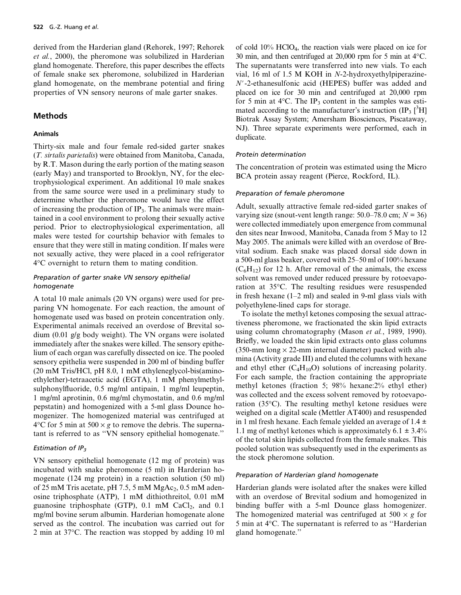derived from the Harderian gland (Rehorek, 1997; Rehorek et al., 2000), the pheromone was solubilized in Harderian gland homogenate. Therefore, this paper describes the effects of female snake sex pheromone, solubilized in Harderian gland homogenate, on the membrane potential and firing properties of VN sensory neurons of male garter snakes.

## Methods

#### Animals

Thirty-six male and four female red-sided garter snakes (T. sirtalis parietalis) were obtained from Manitoba, Canada, by R.T. Mason during the early portion of the mating season (early May) and transported to Brooklyn, NY, for the electrophysiological experiment. An additional 10 male snakes from the same source were used in a preliminary study to determine whether the pheromone would have the effect of increasing the production of IP<sub>3</sub>. The animals were maintained in a cool environment to prolong their sexually active period. Prior to electrophysiological experimentation, all males were tested for courtship behavior with females to ensure that they were still in mating condition. If males were not sexually active, they were placed in a cool refrigerator 4C overnight to return them to mating condition.

## Preparation of garter snake VN sensory epithelial homogenate

A total 10 male animals (20 VN organs) were used for preparing VN homogenate. For each reaction, the amount of homogenate used was based on protein concentration only. Experimental animals received an overdose of Brevital sodium (0.01 g/g body weight). The VN organs were isolated immediately after the snakes were killed. The sensory epithelium of each organ was carefully dissected on ice. The pooled sensory epithelia were suspended in 200 ml of binding buffer (20 mM Tris/HCl, pH 8.0, 1 mM ethyleneglycol-bis(aminoethylether)-tetraacetic acid (EGTA), 1 mM phenylmethylsulphonylfluoride, 0.5 mg/ml antipain, 1 mg/ml leupeptin, 1 mg/ml aprotinin, 0.6 mg/ml chymostatin, and 0.6 mg/ml pepstatin) and homogenized with a 5-ml glass Dounce homogenizer. The homogenized material was centrifuged at 4 $\rm ^{4}$ C for 5 min at 500  $\times$  g to remove the debris. The supernatant is referred to as ''VN sensory epithelial homogenate.''

#### Estimation of  $IP_3$

VN sensory epithelial homogenate (12 mg of protein) was incubated with snake pheromone (5 ml) in Harderian homogenate (124 mg protein) in a reaction solution (50 ml) of 25 mM Tris acetate, pH 7.5, 5 mM  $MgAc_2$ , 0.5 mM adenosine triphosphate (ATP), 1 mM dithiothreitol, 0.01 mM guanosine triphosphate (GTP),  $0.1 \text{ mM } CaCl<sub>2</sub>$ , and  $0.1 \text{ m}$ mg/ml bovine serum albumin. Harderian homogenate alone served as the control. The incubation was carried out for 2 min at  $37^{\circ}$ C. The reaction was stopped by adding 10 ml

of cold  $10\%$  HClO<sub>4</sub>, the reaction vials were placed on ice for 30 min, and then centrifuged at 20,000 rpm for 5 min at  $4^{\circ}$ C. The supernatants were transferred into new vials. To each vial, 16 ml of 1.5 M KOH in N-2-hydroxyethylpiperazine-N*#*-2-ethanesulfonic acid (HEPES) buffer was added and placed on ice for 30 min and centrifuged at 20,000 rpm for 5 min at  $4^{\circ}$ C. The IP<sub>3</sub> content in the samples was estimated according to the manufacturer's instruction (IP<sub>3</sub> [<sup>3</sup>H] Biotrak Assay System; Amersham Biosciences, Piscataway, NJ). Three separate experiments were performed, each in duplicate.

#### Protein determination

The concentration of protein was estimated using the Micro BCA protein assay reagent (Pierce, Rockford, IL).

#### Preparation of female pheromone

Adult, sexually attractive female red-sided garter snakes of varying size (snout-vent length range:  $50.0-78.0$  cm;  $N = 36$ ) were collected immediately upon emergence from communal den sites near Inwood, Manitoba, Canada from 5 May to 12 May 2005. The animals were killed with an overdose of Brevital sodium. Each snake was placed dorsal side down in a 500-ml glass beaker, covered with 25–50 ml of 100% hexane  $(C_6H_{12})$  for 12 h. After removal of the animals, the excess solvent was removed under reduced pressure by rotoevaporation at 35 °C. The resulting residues were resuspended in fresh hexane (1–2 ml) and sealed in 9-ml glass vials with polyethylene-lined caps for storage.

To isolate the methyl ketones composing the sexual attractiveness pheromone, we fractionated the skin lipid extracts using column chromatography (Mason et al., 1989, 1990). Briefly, we loaded the skin lipid extracts onto glass columns (350-mm long  $\times$  22-mm internal diameter) packed with alumina (Activity grade III) and eluted the columns with hexane and ethyl ether  $(C_4H_{10}O)$  solutions of increasing polarity. For each sample, the fraction containing the appropriate methyl ketones (fraction 5; 98% hexane:2% ethyl ether) was collected and the excess solvent removed by rotoevaporation  $(35^{\circ}C)$ . The resulting methyl ketone residues were weighed on a digital scale (Mettler AT400) and resuspended in 1 ml fresh hexane. Each female yielded an average of  $1.4 \pm$ 1.1 mg of methyl ketones which is approximately  $6.1 \pm 3.4\%$ of the total skin lipids collected from the female snakes. This pooled solution was subsequently used in the experiments as the stock pheromone solution.

#### Preparation of Harderian gland homogenate

Harderian glands were isolated after the snakes were killed with an overdose of Brevital sodium and homogenized in binding buffer with a 5-ml Dounce glass homogenizer. The homogenized material was centrifuged at  $500 \times g$  for 5 min at  $4^{\circ}$ C. The supernatant is referred to as "Harderian gland homogenate.''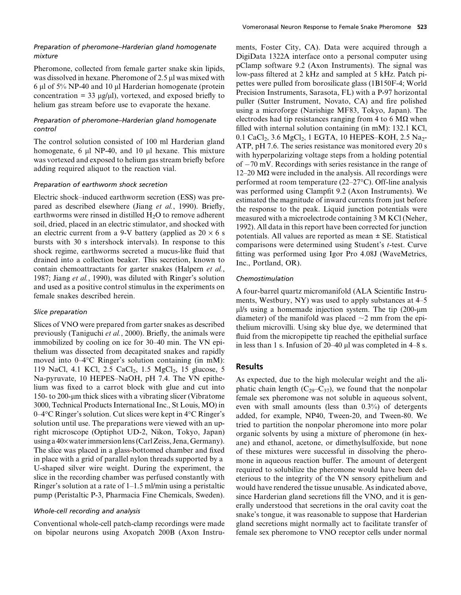Pheromone, collected from female garter snake skin lipids, was dissolved in hexane. Pheromone of 2.5 µl was mixed with 6  $\mu$ l of 5% NP-40 and 10  $\mu$ l Harderian homogenate (protein concentration = 33  $\mu$ g/ $\mu$ l), vortexed, and exposed briefly to helium gas stream before use to evaporate the hexane.

## Preparation of pheromone–Harderian gland homogenate control

The control solution consisted of 100 ml Harderian gland homogenate, 6  $\mu$ l NP-40, and 10  $\mu$ l hexane. This mixture was vortexed and exposed to helium gas stream briefly before adding required aliquot to the reaction vial.

#### Preparation of earthworm shock secretion

Electric shock–induced earthworm secretion (ESS) was prepared as described elsewhere (Jiang et al., 1990). Briefly, earthworms were rinsed in distilled  $H_2O$  to remove adherent soil, dried, placed in an electric stimulator, and shocked with an electric current from a 9-V battery (applied as  $20 \times 6$  s bursts with 30 s intershock intervals). In response to this shock regime, earthworms secreted a mucus-like fluid that drained into a collection beaker. This secretion, known to contain chemoattractants for garter snakes (Halpern et al., 1987; Jiang et al., 1990), was diluted with Ringer's solution and used as a positive control stimulus in the experiments on female snakes described herein.

## Slice preparation

Slices of VNO were prepared from garter snakes as described previously (Taniguchi et al., 2000). Briefly, the animals were immobilized by cooling on ice for 30–40 min. The VN epithelium was dissected from decapitated snakes and rapidly moved into  $0-4$ <sup>o</sup>C Ringer's solution containing (in mM): 119 NaCl, 4.1 KCl, 2.5 CaCl<sub>2</sub>, 1.5 MgCl<sub>2</sub>, 15 glucose, 5 Na-pyruvate, 10 HEPES–NaOH, pH 7.4. The VN epithelium was fixed to a carrot block with glue and cut into 150- to 200-um thick slices with a vibrating slicer (Vibratome 3000, Technical Products International Inc., St Louis, MO) in  $0-4$ <sup>o</sup>C Ringer's solution. Cut slices were kept in  $4$ <sup>o</sup>C Ringer's solution until use. The preparations were viewed with an upright microscope (Optiphot UD-2, Nikon, Tokyo, Japan) using a 40× water immersion lens (Carl Zeiss, Jena, Germany). The slice was placed in a glass-bottomed chamber and fixed in place with a grid of parallel nylon threads supported by a U-shaped silver wire weight. During the experiment, the slice in the recording chamber was perfused constantly with Ringer's solution at a rate of 1–1.5 ml/min using a peristaltic pump (Peristaltic P-3, Pharmacia Fine Chemicals, Sweden).

## Whole-cell recording and analysis

Conventional whole-cell patch-clamp recordings were made on bipolar neurons using Axopatch 200B (Axon Instruments, Foster City, CA). Data were acquired through a DigiData 1322A interface onto a personal computer using pClamp software 9.2 (Axon Instruments). The signal was low-pass filtered at 2 kHz and sampled at 5 kHz. Patch pipettes were pulled from borosilicate glass (1B150F-4; World Precision Instruments, Sarasota, FL) with a P-97 horizontal puller (Sutter Instrument, Novato, CA) and fire polished using a microforge (Narishige MF83, Tokyo, Japan). The electrodes had tip resistances ranging from 4 to 6  $M\Omega$  when filled with internal solution containing (in mM): 132.1 KCl, 0.1 CaCl<sub>2</sub>, 3.6 MgCl<sub>2</sub>, 1 EGTA, 10 HEPES–KOH, 2.5 Na<sub>2</sub>-ATP, pH 7.6. The series resistance was monitored every 20 s with hyperpolarizing voltage steps from a holding potential of  $-70$  mV. Recordings with series resistance in the range of  $12-20$  M $\Omega$  were included in the analysis. All recordings were performed at room temperature  $(22-27\textdegree C)$ . Off-line analysis was performed using Clampfit 9.2 (Axon Instruments). We estimated the magnitude of inward currents from just before the response to the peak. Liquid junction potentials were measured with a microelectrode containing 3 M KCl (Neher, 1992). All data in this report have been corrected for junction potentials. All values are reported as mean ± SE. Statistical comparisons were determined using Student's t-test. Curve fitting was performed using Igor Pro 4.08J (WaveMetrics, Inc., Portland, OR).

## Chemostimulation

A four-barrel quartz micromanifold (ALA Scientific Instruments, Westbury, NY) was used to apply substances at 4–5  $\mu$ l/s using a homemade injection system. The tip (200- $\mu$ m diameter) of the manifold was placed  $\sim$ 2 mm from the epithelium microvilli. Using sky blue dye, we determined that fluid from the micropipette tip reached the epithelial surface in less than 1 s. Infusion of  $20-40 \mu l$  was completed in 4–8 s.

## Results

As expected, due to the high molecular weight and the aliphatic chain length  $(C_{29}-C_{37})$ , we found that the nonpolar female sex pheromone was not soluble in aqueous solvent, even with small amounts (less than 0.3%) of detergents added, for example, NP40, Tween-20, and Tween-80. We tried to partition the nonpolar pheromone into more polar organic solvents by using a mixture of pheromone (in hexane) and ethanol, acetone, or dimethylsulfoxide, but none of these mixtures were successful in dissolving the pheromone in aqueous reaction buffer. The amount of detergent required to solubilize the pheromone would have been deleterious to the integrity of the VN sensory epithelium and would have rendered the tissue unusable. As indicated above, since Harderian gland secretions fill the VNO, and it is generally understood that secretions in the oral cavity coat the snake's tongue, it was reasonable to suppose that Harderian gland secretions might normally act to facilitate transfer of female sex pheromone to VNO receptor cells under normal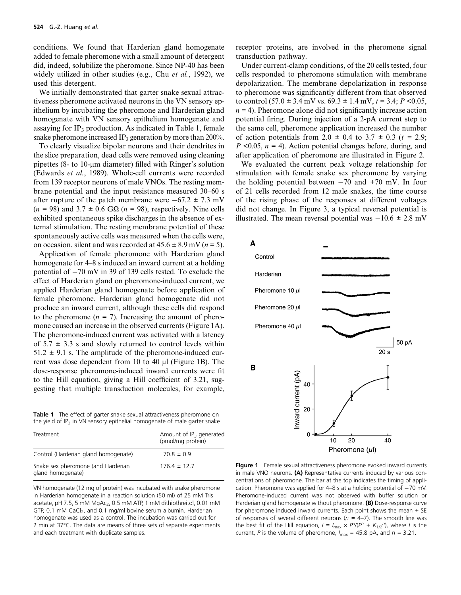conditions. We found that Harderian gland homogenate added to female pheromone with a small amount of detergent did, indeed, solubilize the pheromone. Since NP-40 has been widely utilized in other studies (e.g., Chu et al., 1992), we used this detergent.

We initially demonstrated that garter snake sexual attractiveness pheromone activated neurons in the VN sensory epithelium by incubating the pheromone and Harderian gland homogenate with VN sensory epithelium homogenate and assaying for  $IP_3$  production. As indicated in Table 1, female snake pheromone increased  $IP_3$  generation by more than 200%.

To clearly visualize bipolar neurons and their dendrites in the slice preparation, dead cells were removed using cleaning pipettes (8- to  $10$ -µm diameter) filled with Ringer's solution (Edwards et al., 1989). Whole-cell currents were recorded from 139 receptor neurons of male VNOs. The resting membrane potential and the input resistance measured 30–60 s after rupture of the patch membrane were  $-67.2 \pm 7.3$  mV  $(n = 98)$  and  $3.7 \pm 0.6$  G $\Omega$   $(n = 98)$ , respectively. Nine cells exhibited spontaneous spike discharges in the absence of external stimulation. The resting membrane potential of these spontaneously active cells was measured when the cells were, on occasion, silent and was recorded at  $45.6 \pm 8.9$  mV ( $n = 5$ ).

Application of female pheromone with Harderian gland homogenate for 4–8 s induced an inward current at a holding potential of  $-70$  mV in 39 of 139 cells tested. To exclude the effect of Harderian gland on pheromone-induced current, we applied Harderian gland homogenate before application of female pheromone. Harderian gland homogenate did not produce an inward current, although these cells did respond to the pheromone  $(n = 7)$ . Increasing the amount of pheromone caused an increase in the observed currents (Figure 1A). The pheromone-induced current was activated with a latency of  $5.7 \pm 3.3$  s and slowly returned to control levels within  $51.2 \pm 9.1$  s. The amplitude of the pheromone-induced current was dose dependent from 10 to 40  $\mu$ l (Figure 1B). The dose-response pheromone-induced inward currents were fit to the Hill equation, giving a Hill coefficient of 3.21, suggesting that multiple transduction molecules, for example,

**Table 1** The effect of garter snake sexual attractiveness pheromone on the yield of  $IP_3$  in VN sensory epithelial homogenate of male garter snake

| Treatment                                               | Amount of $IP_3$ generated<br>(pmol/mg protein) |
|---------------------------------------------------------|-------------------------------------------------|
| Control (Harderian gland homogenate)                    | $70.8 \pm 0.9$                                  |
| Snake sex pheromone (and Harderian<br>gland homogenate) | $176.4 \pm 12.7$                                |

VN homogenate (12 mg of protein) was incubated with snake pheromone in Harderian homogenate in a reaction solution (50 ml) of 25 mM Tris acetate, pH 7.5, 5 mM MgAc<sub>2</sub>, 0.5 mM ATP, 1 mM dithiothreitol, 0.01 mM GTP, 0.1 mM CaCl<sub>2</sub>, and 0.1 mg/ml bovine serum albumin. Harderian homogenate was used as a control. The incubation was carried out for 2 min at 37°C. The data are means of three sets of separate experiments and each treatment with duplicate samples.

receptor proteins, are involved in the pheromone signal transduction pathway.

Under current-clamp conditions, of the 20 cells tested, four cells responded to pheromone stimulation with membrane depolarization. The membrane depolarization in response to pheromone was significantly different from that observed to control  $(57.0 \pm 3.4 \text{ mV} \text{ vs. } 69.3 \pm 1.4 \text{ mV}, t = 3.4; P < 0.05,$  $n = 4$ ). Pheromone alone did not significantly increase action potential firing. During injection of a 2-pA current step to the same cell, pheromone application increased the number of action potentials from  $2.0 \pm 0.4$  to  $3.7 \pm 0.3$  ( $t = 2.9$ ;  $P \leq 0.05$ ,  $n = 4$ ). Action potential changes before, during, and after application of pheromone are illustrated in Figure 2.

We evaluated the current peak voltage relationship for stimulation with female snake sex pheromone by varying the holding potential between  $-70$  and  $+70$  mV. In four of 21 cells recorded from 12 male snakes, the time course of the rising phase of the responses at different voltages did not change. In Figure 3, a typical reversal potential is illustrated. The mean reversal potential was  $-10.6 \pm 2.8$  mV



Figure 1 Female sexual attractiveness pheromone evoked inward currents in male VNO neurons. (A) Representative currents induced by various concentrations of pheromone. The bar at the top indicates the timing of application. Pheromone was applied for 4–8 s at a holding potential of  $-70$  mV. Pheromone-induced current was not observed with buffer solution or Harderian gland homogenate without pheromone. (B) Dose-response curve for pheromone induced inward currents. Each point shows the mean  $\pm$  SE of responses of several different neurons ( $n = 4-7$ ). The smooth line was the best fit of the Hill equation,  $I = I_{\text{max}} \times P^{\prime\prime}(P^{\prime\prime} + K_{1/2}^{\prime\prime\prime})$ , where *I* is the current, P is the volume of pheromone,  $I_{\text{max}} = 45.8$  pA, and  $n = 3.21$ .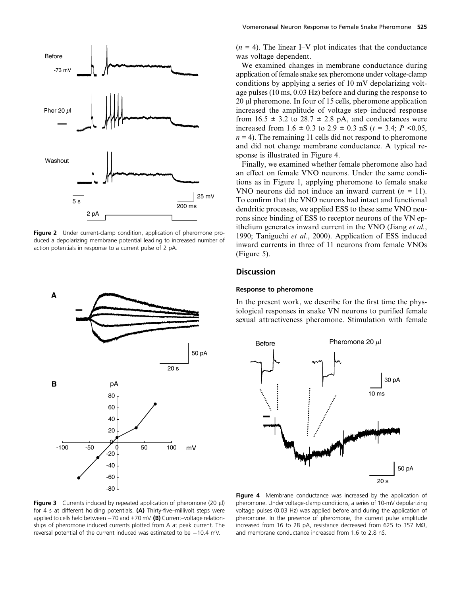

Figure 2 Under current-clamp condition, application of pheromone produced a depolarizing membrane potential leading to increased number of action potentials in response to a current pulse of 2 pA.



 $(n = 4)$ . The linear I–V plot indicates that the conductance was voltage dependent.

We examined changes in membrane conductance during application of female snake sex pheromone under voltage-clamp conditions by applying a series of 10 mV depolarizing voltage pulses (10 ms, 0.03 Hz) before and during the response to 20 µl pheromone. In four of 15 cells, pheromone application increased the amplitude of voltage step–induced response from  $16.5 \pm 3.2$  to  $28.7 \pm 2.8$  pA, and conductances were increased from 1.6  $\pm$  0.3 to 2.9  $\pm$  0.3 nS (t = 3.4; P < 0.05,  $n = 4$ ). The remaining 11 cells did not respond to pheromone and did not change membrane conductance. A typical response is illustrated in Figure 4.

Finally, we examined whether female pheromone also had an effect on female VNO neurons. Under the same conditions as in Figure 1, applying pheromone to female snake VNO neurons did not induce an inward current  $(n = 11)$ . To confirm that the VNO neurons had intact and functional dendritic processes, we applied ESS to these same VNO neurons since binding of ESS to receptor neurons of the VN epithelium generates inward current in the VNO (Jiang et al., 1990; Taniguchi et al., 2000). Application of ESS induced inward currents in three of 11 neurons from female VNOs (Figure 5).

#### **Discussion**

#### Response to pheromone

In the present work, we describe for the first time the physiological responses in snake VN neurons to purified female sexual attractiveness pheromone. Stimulation with female



Figure 3 Currents induced by repeated application of pheromone (20  $\mu$ l) for 4 s at different holding potentials. (A) Thirty-five–millivolt steps were applied to cells held between  $-70$  and  $+70$  mV. (B) Current-voltage relationships of pheromone induced currents plotted from A at peak current. The reversal potential of the current induced was estimated to be  $-10.4$  mV.

Figure 4 Membrane conductance was increased by the application of pheromone. Under voltage-clamp conditions, a series of 10-mV depolarizing voltage pulses (0.03 Hz) was applied before and during the application of pheromone. In the presence of pheromone, the current pulse amplitude increased from 16 to 28 pA, resistance decreased from 625 to 357 M $\Omega$ , and membrane conductance increased from 1.6 to 2.8 nS.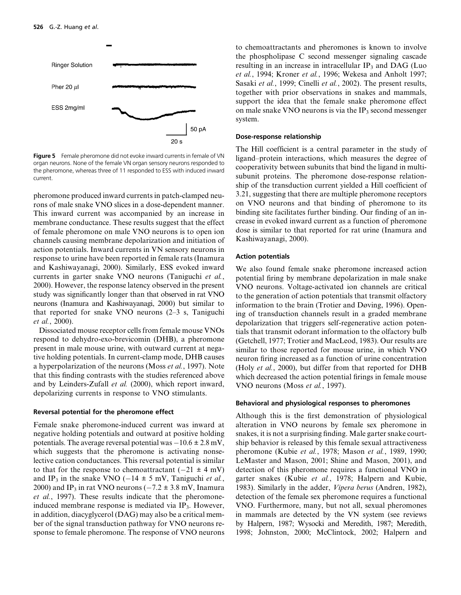

Figure 5 Female pheromone did not evoke inward currents in female of VN organ neurons. None of the female VN organ sensory neurons responded to the pheromone, whereas three of 11 responded to ESS with induced inward current.

pheromone produced inward currents in patch-clamped neurons of male snake VNO slices in a dose-dependent manner. This inward current was accompanied by an increase in membrane conductance. These results suggest that the effect of female pheromone on male VNO neurons is to open ion channels causing membrane depolarization and initiation of action potentials. Inward currents in VN sensory neurons in response to urine have been reported in female rats (Inamura and Kashiwayanagi, 2000). Similarly, ESS evoked inward currents in garter snake VNO neurons (Taniguchi et al., 2000). However, the response latency observed in the present study was significantly longer than that observed in rat VNO neurons (Inamura and Kashiwayanagi, 2000) but similar to that reported for snake VNO neurons (2–3 s, Taniguchi et al., 2000).

Dissociated mouse receptor cells from female mouse VNOs respond to dehydro-exo-brevicomin (DHB), a pheromone present in male mouse urine, with outward current at negative holding potentials. In current-clamp mode, DHB causes a hyperpolarization of the neurons (Moss et al., 1997). Note that this finding contrasts with the studies referenced above and by Leinders-Zufall et al. (2000), which report inward, depolarizing currents in response to VNO stimulants.

#### Reversal potential for the pheromone effect

Female snake pheromone-induced current was inward at negative holding potentials and outward at positive holding potentials. The average reversal potential was  $-10.6 \pm 2.8$  mV, which suggests that the pheromone is activating nonselective cation conductances. This reversal potential is similar to that for the response to chemoattractant  $(-21 \pm 4 \text{ mV})$ and IP<sub>3</sub> in the snake VNO (-14  $\pm$  5 mV, Taniguchi et al., 2000) and IP<sub>3</sub> in rat VNO neurons ( $-7.2 \pm 3.8$  mV, Inamura et al., 1997). These results indicate that the pheromoneinduced membrane response is mediated via  $IP_3$ . However, in addition, diacyglycerol (DAG) may also be a critical member of the signal transduction pathway for VNO neurons response to female pheromone. The response of VNO neurons to chemoattractants and pheromones is known to involve the phospholipase C second messenger signaling cascade resulting in an increase in intracellular IP<sub>3</sub> and DAG (Luo et al., 1994; Kroner et al., 1996; Wekesa and Anholt 1997; Sasaki et al., 1999; Cinelli et al., 2002). The present results, together with prior observations in snakes and mammals, support the idea that the female snake pheromone effect on male snake VNO neurons is via the  $IP<sub>3</sub>$  second messenger system.

#### Dose-response relationship

The Hill coefficient is a central parameter in the study of ligand–protein interactions, which measures the degree of cooperativity between subunits that bind the ligand in multisubunit proteins. The pheromone dose-response relationship of the transduction current yielded a Hill coefficient of 3.21, suggesting that there are multiple pheromone receptors on VNO neurons and that binding of pheromone to its binding site facilitates further binding. Our finding of an increase in evoked inward current as a function of pheromone dose is similar to that reported for rat urine (Inamura and Kashiwayanagi, 2000).

#### Action potentials

We also found female snake pheromone increased action potential firing by membrane depolarization in male snake VNO neurons. Voltage-activated ion channels are critical to the generation of action potentials that transmit olfactory information to the brain (Trotier and Døving, 1996). Opening of transduction channels result in a graded membrane depolarization that triggers self-regenerative action potentials that transmit odorant information to the olfactory bulb (Getchell, 1977; Trotier and MacLeod, 1983). Our results are similar to those reported for mouse urine, in which VNO neuron firing increased as a function of urine concentration (Holy et al., 2000), but differ from that reported for DHB which decreased the action potential firings in female mouse VNO neurons (Moss et al., 1997).

#### Behavioral and physiological responses to pheromones

Although this is the first demonstration of physiological alteration in VNO neurons by female sex pheromone in snakes, it is not a surprising finding. Male garter snake courtship behavior is released by this female sexual attractiveness pheromone (Kubie et al., 1978; Mason et al., 1989, 1990; LeMaster and Mason, 2001; Shine and Mason, 2001), and detection of this pheromone requires a functional VNO in garter snakes (Kubie et al., 1978; Halpern and Kubie, 1983). Similarly in the adder, Vipera berus (Andren, 1982), detection of the female sex pheromone requires a functional VNO. Furthermore, many, but not all, sexual pheromones in mammals are detected by the VN system (see reviews by Halpern, 1987; Wysocki and Meredith, 1987; Meredith, 1998; Johnston, 2000; McClintock, 2002; Halpern and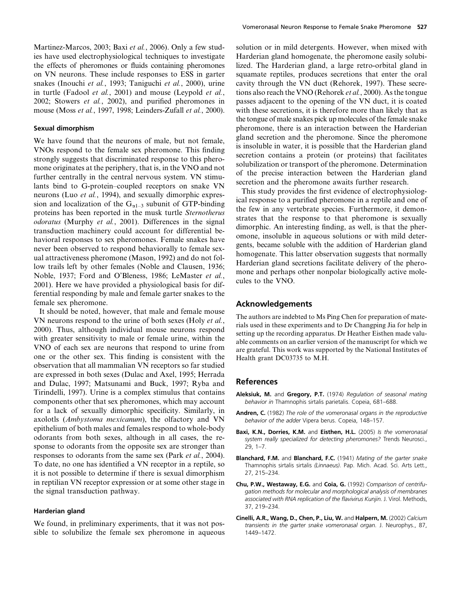Martinez-Marcos, 2003; Baxi et al., 2006). Only a few studies have used electrophysiological techniques to investigate the effects of pheromones or fluids containing pheromones on VN neurons. These include responses to ESS in garter snakes (Inouchi et al., 1993; Taniguchi et al., 2000), urine in turtle (Fadool et al., 2001) and mouse (Leypold et al., 2002; Stowers et al., 2002), and purified pheromones in mouse (Moss et al., 1997, 1998; Leinders-Zufall et al., 2000).

#### Sexual dimorphism

We have found that the neurons of male, but not female, VNOs respond to the female sex pheromone. This finding strongly suggests that discriminated response to this pheromone originates at the periphery, that is, in the VNO and not further centrally in the central nervous system. VN stimulants bind to G-protein–coupled receptors on snake VN neurons (Luo et al., 1994), and sexually dimorphic expression and localization of the  $G_{\alpha 1-3}$  subunit of GTP-binding proteins has been reported in the musk turtle Sternotherus odoratus (Murphy et al., 2001). Differences in the signal transduction machinery could account for differential behavioral responses to sex pheromones. Female snakes have never been observed to respond behaviorally to female sexual attractiveness pheromone (Mason, 1992) and do not follow trails left by other females (Noble and Clausen, 1936; Noble, 1937; Ford and O'Bleness, 1986; LeMaster et al., 2001). Here we have provided a physiological basis for differential responding by male and female garter snakes to the female sex pheromone.

It should be noted, however, that male and female mouse VN neurons respond to the urine of both sexes (Holy *et al.*, 2000). Thus, although individual mouse neurons respond with greater sensitivity to male or female urine, within the VNO of each sex are neurons that respond to urine from one or the other sex. This finding is consistent with the observation that all mammalian VN receptors so far studied are expressed in both sexes (Dulac and Axel, 1995; Herrada and Dulac, 1997; Matsunami and Buck, 1997; Ryba and Tirindelli, 1997). Urine is a complex stimulus that contains components other that sex pheromones, which may account for a lack of sexually dimorphic specificity. Similarly, in axolotls (Ambystoma mexicanum), the olfactory and VN epithelium of both males and females respond to whole-body odorants from both sexes, although in all cases, the response to odorants from the opposite sex are stronger than responses to odorants from the same sex (Park et al., 2004). To date, no one has identified a VN receptor in a reptile, so it is not possible to determine if there is sexual dimorphism in reptilian VN receptor expression or at some other stage in the signal transduction pathway.

#### Harderian gland

We found, in preliminary experiments, that it was not possible to solubilize the female sex pheromone in aqueous solution or in mild detergents. However, when mixed with Harderian gland homogenate, the pheromone easily solubilized. The Harderian gland, a large retro-orbital gland in squamate reptiles, produces secretions that enter the oral cavity through the VN duct (Rehorek, 1997). These secretions also reach the VNO (Rehorek *et al.*, 2000). As the tongue passes adjacent to the opening of the VN duct, it is coated with these secretions, it is therefore more than likely that as the tongue of male snakes pick up molecules of the female snake pheromone, there is an interaction between the Harderian gland secretion and the pheromone. Since the pheromone is insoluble in water, it is possible that the Harderian gland secretion contains a protein (or proteins) that facilitates solubilization or transport of the pheromone. Determination of the precise interaction between the Harderian gland secretion and the pheromone awaits further research.

This study provides the first evidence of electrophysiological response to a purified pheromone in a reptile and one of the few in any vertebrate species. Furthermore, it demonstrates that the response to that pheromone is sexually dimorphic. An interesting finding, as well, is that the pheromone, insoluble in aqueous solutions or with mild detergents, became soluble with the addition of Harderian gland homogenate. This latter observation suggests that normally Harderian gland secretions facilitate delivery of the pheromone and perhaps other nonpolar biologically active molecules to the VNO.

#### Acknowledgements

The authors are indebted to Ms Ping Chen for preparation of materials used in these experiments and to Dr Changping Jia for help in setting up the recording apparatus. Dr Heather Eisthen made valuable comments on an earlier version of the manuscript for which we are grateful. This work was supported by the National Institutes of Health grant DC03735 to M.H.

#### References

- Aleksiuk, M. and Gregory, P.T. (1974) Regulation of seasonal mating behavior in Thamnophis sirtalis parietalis. Copeia, 681–688.
- Andren, C. (1982) The role of the vomeronasal organs in the reproductive behavior of the adder Vipera berus. Copeia, 148–157.
- Baxi, K.N., Dorries, K.M. and Eisthen, H.L. (2005) Is the vomeronasal system really specialized for detecting pheromones? Trends Neurosci., 29, 1–7.
- Blanchard, F.M. and Blanchard, F.C. (1941) Mating of the garter snake Thamnophis sirtalis sirtalis (Linnaeus). Pap. Mich. Acad. Sci. Arts Lett., 27, 215–234.
- Chu, P.W., Westaway, E.G. and Coia, G. (1992) Comparison of centrifugation methods for molecular and morphological analysis of membranes associated with RNA replication of the flavivirus Kunjin. J. Virol. Methods, 37, 219–234.
- Cinelli, A.R., Wang, D., Chen, P., Liu, W. and Halpern, M. (2002) Calcium transients in the garter snake vomeronasal organ. J. Neurophys., 87, 1449–1472.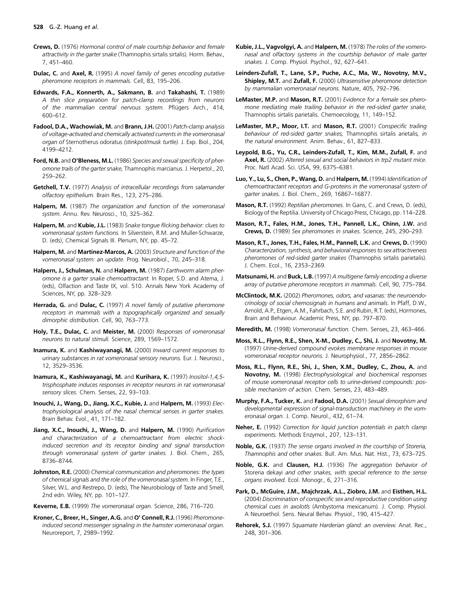- Crews, D. (1976) Hormonal control of male courtship behavior and female attractivity in the garter snake (Thamnophis sirtalis sirtalis). Horm. Behav., 7, 451–460.
- Dulac, C. and Axel, R. (1995) A novel family of genes encoding putative pheromone receptors in mammals. Cell, 83, 195–206.
- Edwards, F.A., Konnerth, A., Sakmann, B. and Takahashi, T. (1989) A thin slice preparation for patch-clamp recordings from neurons of the mammalian central nervous system. Pflügers Arch., 414, 600–612.
- Fadool, D.A., Wachowiak, M. and Brann, J.H. (2001) Patch-clamp analysis of voltage-activated and chemically activated currents in the vomeronasal organ of Sternotherus odoratus (stinkpot/musk turtle). J. Exp. Biol., 204, 4199–4212.
- Ford, N.B. and O'Bleness, M.L. (1986) Species and sexual specificity of pheromone trails of the garter snake, Thamnophis marcianus. J. Herpetol., 20, 259–262.
- Getchell, T.V. (1977) Analysis of intracellular recordings from salamander olfactory epithelium. Brain Res., 123, 275–286.
- Halpern, M. (1987) The organization and function of the vomeronasal system. Annu. Rev. Neurosci., 10, 325–362.
- Halpern, M. and Kubie, J.L. (1983) Snake tongue flicking behavior: clues to vomeronasal system functions. In Silverstein, R.M. and Muller-Schwarze, D. (eds), Chemical Signals III. Plenum, NY, pp. 45–72.
- Halpern, M. and Martinez-Marcos, A. (2003) Structure and function of the vomeronasal system: an update. Prog. Neurobiol., 70, 245–318.
- Halpern, J., Schulman, N. and Halpern, M. (1987) Earthworm alarm pheromone is a garter snake chemoattractant. In Roper, S.D. and Atema, J. (eds), Olfaction and Taste IX, vol. 510. Annals New York Academy of Sciences, NY, pp. 328–329.
- Herrada, G. and Dulac, C. (1997) A novel family of putative pheromone receptors in mammals with a topographically organized and sexually dimorphic distribution. Cell, 90, 763–773.
- Holy, T.E., Dulac, C. and Meister, M. (2000) Responses of vomeronasal neurons to natural stimuli. Science, 289, 1569–1572.
- Inamura, K. and Kashiwayanagi, M. (2000) Inward current responses to urinary substances in rat vomeronasal sensory neurons. Eur. J. Neurosci., 12, 3529–3536.
- Inamura, K., Kashiwayanagi, M. and Kurihara, K. (1997) Inositol-1,4,5 trisphosphate induces responses in receptor neurons in rat vomeronasal sensory slices. Chem. Senses, 22, 93–103.
- Inouchi, J., Wang, D., Jiang, X.C., Kubie, J. and Halpern, M. (1993) Electrophysiological analysis of the nasal chemical senses in garter snakes. Brain Behav. Evol., 41, 171–182.
- Jiang, X.C., Inouchi, J., Wang, D. and Halpern, M. (1990) Purification and characterization of a chemoattractant from electric shockinduced secretion and its receptor binding and signal transduction through vomeronasal system of garter snakes. J. Biol. Chem., 265, 8736–8744.
- Johnston, R.E. (2000) Chemical communication and pheromones: the types of chemical signals and the role of the vomeronasal system. In Finger, T.E., Silver, W.L. and Restrepo, D. (eds), The Neurobiology of Taste and Smell, 2nd edn. Wiley, NY, pp. 101–127.
- Keverne, E.B. (1999) The vomeronasal organ. Science, 286, 716–720.
- Kroner, C., Breer, H., Singer, A.G. and O' Connell, R.J. (1996) Pheromoneinduced second messenger signaling in the hamster vomeronasal organ. Neuroreport, 7, 2989–1992.
- Kubie, J.L., Vagvolgyi, A. and Halpern, M. (1978) The roles of the vomeronasal and olfactory systems in the courtship behavior of male garter snakes. J. Comp. Physiol. Psychol., 92, 627–641.
- Leinders-Zufall, T., Lane, S.P., Puche, A.C., Ma, W., Novotny, M.V., Shipley, M.T. and Zufall, F. (2000) Ultrasensitive pheromone detection by mammalian vomeronasal neurons. Nature, 405, 792–796.
- LeMaster, M.P. and Mason, R.T. (2001) Evidence for a female sex pheromone mediating male trailing behavior in the red-sided garter snake, Thamnophis sirtalis parietalis. Chemoecology, 11, 149–152.
- LeMaster, M.P., Moor, I.T. and Mason, R.T. (2001) Conspecific trailing behaviour of red-sided garter snakes, Thamnophis sirtalis arietalis, in the natural environment. Anim. Behav., 61, 827–833.
- Leypold, B.G., Yu, C.R., Leinders-Zufall, T., Kim, M.M., Zufall, F. and Axel, R. (2002) Altered sexual and social behaviors in trp2 mutant mice. Proc. Natl Acad. Sci. USA, 99, 6375–6381.
- Luo, Y., Lu, S., Chen, P., Wang, D. and Halpern, M. (1994) Identification of chemoattractant receptors and G-proteins in the vomeronasal system of garter snakes. J. Biol. Chem., 269, 16867–16877.
- Mason, R.T. (1992) Reptilian pheromones. In Gans, C. and Crews, D. (eds), Biology of the Reptilia. University of Chicago Press, Chicago, pp. 114–228.
- Mason, R.T., Fales, H.M., Jones, T.H., Pannell, L.K., Chinn, J.W. and Crews, D. (1989) Sex pheromones in snakes. Science, 245, 290–293.
- Mason, R.T., Jones, T.H., Fales, H.M., Pannell, L.K. and Crews, D. (1990) Characterization, synthesis, and behavioral responses to sex attractiveness pheromones of red-sided garter snakes (Thamnophis sirtalis parietalis). J. Chem. Ecol., 16, 2353–2369.
- Matsunami, H. and Buck, L.B. (1997) A multigene family encoding a diverse array of putative pheromone receptors in mammals. Cell, 90, 775–784.
- McClintock, M.K. (2002) Pheromones, odors, and vasanas: the neuroendocrinology of social chemosignals in humans and animals. In Pfaff, D.W., Arnold, A.P., Etgen, A.M., Fahrbach, S.E. and Rubin, R.T. (eds), Hormones, Brain and Behaviour. Academic Press, NY, pp. 797–870.
- Meredith, M. (1998) Vomeronasal function. Chem. Senses, 23, 463–466.
- Moss, R.L., Flynn, R.E., Shen, X-M., Dudley, C., Shi, J. and Novotny, M. (1997) Urine-derived compound evokes membrane responses in mouse vomeronasal receptor neurons. J. Neurophysiol., 77, 2856–2862.
- Moss, R.L., Flynn, R.E., Shi, J., Shen, X.M., Dudley, C., Zhou, A. and Novotny, M. (1998) Electrophysiological and biochemical responses of mouse vomeronasal receptor cells to urine-derived compounds: possible mechanism of action. Chem. Senses, 23, 483–489.
- Murphy, F.A., Tucker, K. and Fadool, D.A. (2001) Sexual dimorphism and developmental expression of signal-transduction machinery in the vomeronasal organ. J. Comp. Neurol., 432, 61–74.
- Neher, E. (1992) Correction for liquid junction potentials in patch clamp experiments. Methods Enzymol., 207, 123–131.
- Noble, G.K. (1937) The sense organs involved in the courtship of Storeria, Thamnophis and other snakes. Bull. Am. Mus. Nat. Hist., 73, 673–725.
- Noble, G.K. and Clausen, H.J. (1936) The aggregation behavior of Storeria dekayi and other snakes, with special reference to the sense organs involved. Ecol. Monogr., 6, 271–316.
- Park, D., McGuire, J.M., Majchrzak, A.L., Ziobro, J.M. and Eisthen, H.L. (2004) Discrimination of conspecific sex and reproductive condition using chemical cues in axolotls (Ambystoma mexicanum). J. Comp. Physiol. A Neuroethol. Sens. Neural Behav. Physiol., 190, 415–427.
- Rehorek, S.J. (1997) Squamate Harderian gland: an overview. Anat. Rec., 248, 301–306.